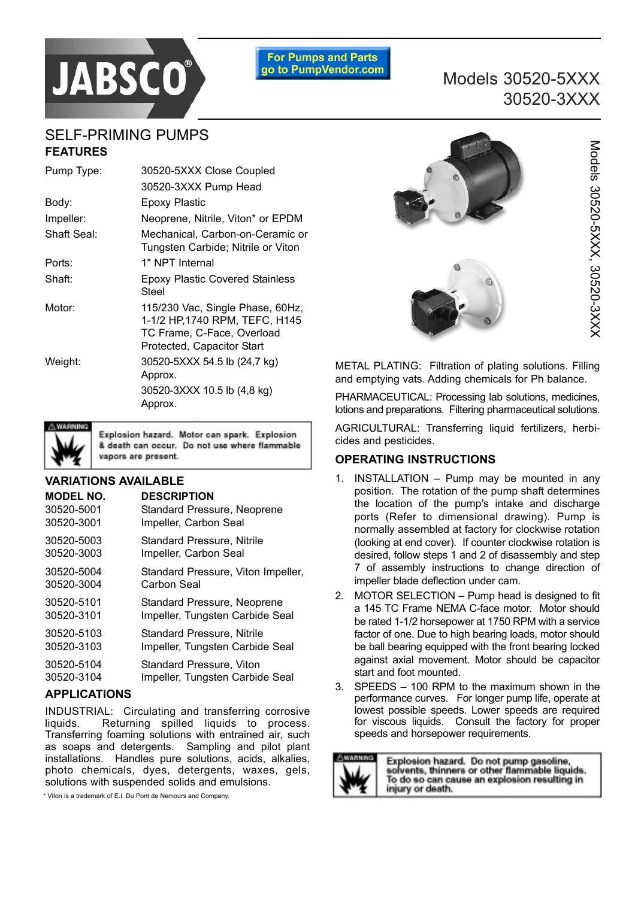

**For Pumps and Parts** go to PumpVendor.com

# Models 30520-5XXX 30520-3XXX

# SELF-PRIMING PUMPS **FEATURES**

| Pump Type:  | 30520-5XXX Close Coupled                                                                                                       |  |  |  |  |
|-------------|--------------------------------------------------------------------------------------------------------------------------------|--|--|--|--|
|             | 30520-3XXX Pump Head                                                                                                           |  |  |  |  |
| Body:       | Epoxy Plastic                                                                                                                  |  |  |  |  |
| Impeller:   | Neoprene, Nitrile, Viton* or EPDM                                                                                              |  |  |  |  |
| Shaft Seal: | Mechanical, Carbon-on-Ceramic or<br>Tungsten Carbide; Nitrile or Viton                                                         |  |  |  |  |
| Ports:      | 1" NPT Internal                                                                                                                |  |  |  |  |
| Shaft:      | <b>Epoxy Plastic Covered Stainless</b><br>Steel                                                                                |  |  |  |  |
| Motor:      | 115/230 Vac, Single Phase, 60Hz,<br>1-1/2 HP, 1740 RPM, TEFC, H145<br>TC Frame, C-Face, Overload<br>Protected, Capacitor Start |  |  |  |  |
| Weight:     | 30520-5XXX 54.5 lb (24,7 kg)<br>Approx.<br>30520-3XXX 10.5 lb (4,8 kg)<br>Approx.                                              |  |  |  |  |



Explosion hazard. Motor can spark. Explosion & death can occur. Do not use where flammable vapors are present.

#### **VARIATIONS AVAILABLE**

| <b>MODEL NO.</b> | <b>DESCRIPTION</b>                 |
|------------------|------------------------------------|
| 30520-5001       | Standard Pressure, Neoprene        |
| 30520-3001       | Impeller, Carbon Seal              |
| 30520-5003       | Standard Pressure, Nitrile         |
| 30520-3003       | Impeller, Carbon Seal              |
| 30520-5004       | Standard Pressure, Viton Impeller, |
| 30520-3004       | Carbon Seal                        |
| 30520-5101       | Standard Pressure, Neoprene        |
| 30520-3101       | Impeller, Tungsten Carbide Seal    |
| 30520-5103       | <b>Standard Pressure, Nitrile</b>  |
| 30520-3103       | Impeller, Tungsten Carbide Seal    |
| 30520-5104       | Standard Pressure, Viton           |
| 30520-3104       | Impeller, Tungsten Carbide Seal    |

## **APPLICATIONS**

INDUSTRIAL: Circulating and transferring corrosive liquids. Returning spilled liquids to process. Transferring foaming solutions with entrained air, such as soaps and detergents. Sampling and pilot plant installations. Handles pure solutions, acids, alkalies, photo chemicals, dyes, detergents, waxes, gels, solutions with suspended solids and emulsions.

\* Viton is a trademark of E.I. Du Pont de Nemours and Company.



METAL PLATING: Filtration of plating solutions. Filling and emptying vats. Adding chemicals for Ph balance.

PHARMACEUTICAL: Processing lab solutions, medicines, lotions and preparations. Filtering pharmaceutical solutions.

AGRICULTURAL: Transferring liquid fertilizers, herbicides and pesticides.

## **OPERATING INSTRUCTIONS**

- 1. INSTALLATION  $-$  Pump may be mounted in any position. The rotation of the pump shaft determines the location of the pump's intake and discharge ports (Refer to dimensional drawing). Pump is normally assembled at factory for clockwise rotation (looking at end cover). If counter clockwise rotation is desired, follow steps 1 and 2 of disassembly and step 7 of assembly instructions to change direction of impeller blade deflection under cam.
- 2. MOTOR SELECTION  $-$  Pump head is designed to fit a 145 TC Frame NEMA C-face motor. Motor should be rated 1-1/2 horsepower at 1750 RPM with a service factor of one. Due to high bearing loads, motor should be ball bearing equipped with the front bearing locked against axial movement. Motor should be capacitor start and foot mounted.
- 3. SPEEDS  $-$  100 RPM to the maximum shown in the performance curves. For longer pump life, operate at lowest possible speeds. Lower speeds are required for viscous liquids. Consult the factory for proper speeds and horsepower requirements.



Explosion hazard. Do not pump gasoline,<br>solvents, thinners or other flammable liquids. To do so can cause an explosion resulting in injury or death.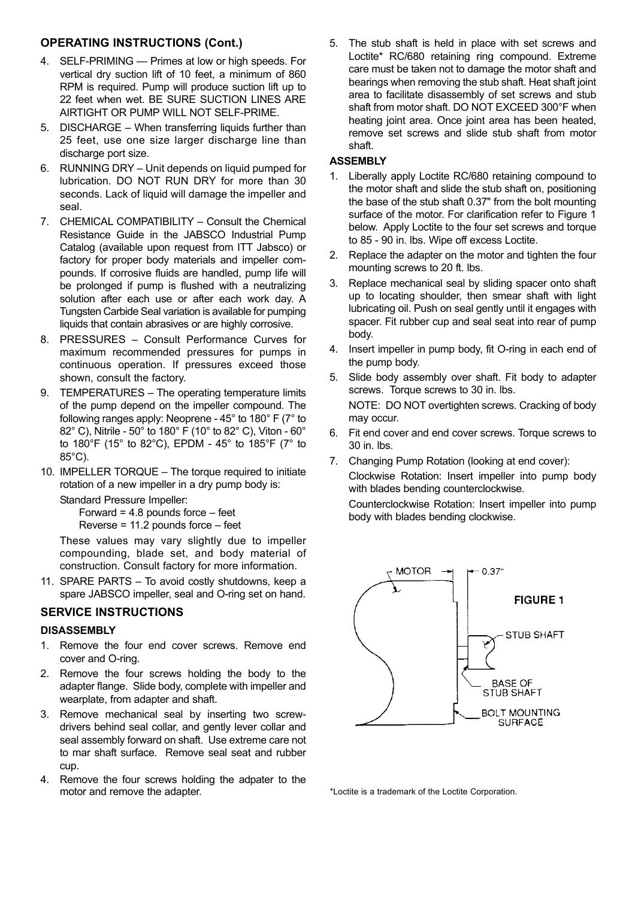## **OPERATING INSTRUCTIONS (Cont.)**

- 4. SELF-PRIMING Primes at low or high speeds. For vertical dry suction lift of 10 feet, a minimum of 860 RPM is required. Pump will produce suction lift up to 22 feet when wet. BE SURE SUCTION LINES ARE AIRTIGHT OR PUMP WILL NOT SELF-PRIME.
- 5. DISCHARGE When transferring liquids further than 25 feet, use one size larger discharge line than discharge port size.
- 6. RUNNING DRY Unit depends on liquid pumped for lubrication. DO NOT RUN DRY for more than 30 seconds. Lack of liquid will damage the impeller and seal.
- 7. CHEMICAL COMPATIBILITY Consult the Chemical Resistance Guide in the JABSCO Industrial Pump Catalog (available upon request from ITT Jabsco) or factory for proper body materials and impeller compounds. If corrosive fluids are handled, pump life will be prolonged if pump is flushed with a neutralizing solution after each use or after each work day. A Tungsten Carbide Seal variation is available for pumping liquids that contain abrasives or are highly corrosive.
- 8. PRESSURES Consult Performance Curves for maximum recommended pressures for pumps in continuous operation. If pressures exceed those shown, consult the factory.
- 9. TEMPERATURES The operating temperature limits of the pump depend on the impeller compound. The following ranges apply: Neoprene - 45° to 180° F (7° to 82° C), Nitrile - 50° to 180° F (10° to 82° C), Viton - 60° to 180°F (15° to 82°C), EPDM - 45° to 185°F (7° to 85°C).
- 10. IMPELLER TORQUE The torque required to initiate rotation of a new impeller in a dry pump body is:

Standard Pressure Impeller:

Forward =  $4.8$  pounds force  $-$  feet Reverse =  $11.2$  pounds force  $-$  feet

These values may vary slightly due to impeller compounding, blade set, and body material of construction. Consult factory for more information.

11. SPARE PARTS  $-$  To avoid costly shutdowns, keep a spare JABSCO impeller, seal and O-ring set on hand.

## **SERVICE INSTRUCTIONS**

#### **DISASSEMBLY**

- 1. Remove the four end cover screws. Remove end cover and O-ring.
- 2. Remove the four screws holding the body to the adapter flange. Slide body, complete with impeller and wearplate, from adapter and shaft.
- 3. Remove mechanical seal by inserting two screwdrivers behind seal collar, and gently lever collar and seal assembly forward on shaft. Use extreme care not to mar shaft surface. Remove seal seat and rubber cup.
- 4. Remove the four screws holding the adpater to the

5. The stub shaft is held in place with set screws and Loctite\* RC/680 retaining ring compound. Extreme care must be taken not to damage the motor shaft and bearings when removing the stub shaft. Heat shaft joint area to facilitate disassembly of set screws and stub shaft from motor shaft. DO NOT EXCEED 300°F when heating joint area. Once joint area has been heated, remove set screws and slide stub shaft from motor shaft.

### **ASSEMBLY**

- 1. Liberally apply Loctite RC/680 retaining compound to the motor shaft and slide the stub shaft on, positioning the base of the stub shaft 0.37" from the bolt mounting surface of the motor. For clarification refer to Figure 1 below. Apply Loctite to the four set screws and torque to 85 - 90 in. lbs. Wipe off excess Loctite.
- 2. Replace the adapter on the motor and tighten the four mounting screws to 20 ft. lbs.
- 3. Replace mechanical seal by sliding spacer onto shaft up to locating shoulder, then smear shaft with light lubricating oil. Push on seal gently until it engages with spacer. Fit rubber cup and seal seat into rear of pump body.
- 4. Insert impeller in pump body, fit O-ring in each end of the pump body.
- 5. Slide body assembly over shaft. Fit body to adapter screws. Torque screws to 30 in. lbs. NOTE: DO NOT overtighten screws. Cracking of body may occur.
- 6. Fit end cover and end cover screws. Torque screws to 30 in. lbs.
- 7. Changing Pump Rotation (looking at end cover): Clockwise Rotation: Insert impeller into pump body with blades bending counterclockwise.

Counterclockwise Rotation: Insert impeller into pump body with blades bending clockwise.



\*Loctite is a trademark of the Loctite Corporation.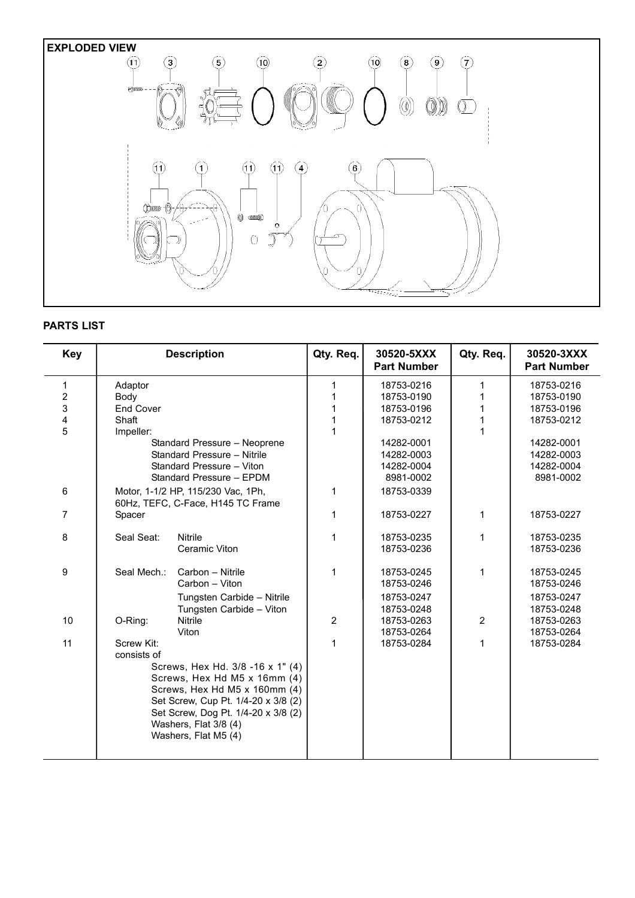

## **PARTS LIST**

| <b>Key</b>              |                                                              | <b>Description</b>                                                      | Qty. Req.      | 30520-5XXX<br><b>Part Number</b> | Qty. Req.      | 30520-3XXX<br><b>Part Number</b> |
|-------------------------|--------------------------------------------------------------|-------------------------------------------------------------------------|----------------|----------------------------------|----------------|----------------------------------|
| 1                       | Adaptor                                                      |                                                                         | 1              | 18753-0216                       | 1              | 18753-0216                       |
| $\overline{\mathbf{c}}$ | Body                                                         |                                                                         |                | 18753-0190                       | 1              | 18753-0190                       |
| 3                       | <b>End Cover</b>                                             |                                                                         |                | 18753-0196                       | 1              | 18753-0196                       |
| 4                       | Shaft                                                        |                                                                         |                | 18753-0212                       | 1              | 18753-0212                       |
| 5                       | Impeller:                                                    |                                                                         |                |                                  | 1              |                                  |
|                         |                                                              | Standard Pressure - Neoprene                                            |                | 14282-0001                       |                | 14282-0001                       |
|                         |                                                              | Standard Pressure - Nitrile                                             |                | 14282-0003                       |                | 14282-0003                       |
|                         |                                                              | Standard Pressure - Viton                                               |                | 14282-0004                       |                | 14282-0004                       |
|                         |                                                              | Standard Pressure - EPDM                                                |                | 8981-0002                        |                | 8981-0002                        |
| 6                       |                                                              | Motor, 1-1/2 HP, 115/230 Vac, 1Ph,<br>60Hz, TEFC, C-Face, H145 TC Frame | 1              | 18753-0339                       |                |                                  |
| 7                       | Spacer                                                       |                                                                         | 1              | 18753-0227                       | 1              | 18753-0227                       |
| 8                       | Seal Seat:                                                   | <b>Nitrile</b>                                                          | 1              | 18753-0235                       | 1              | 18753-0235                       |
|                         |                                                              | Ceramic Viton                                                           |                | 18753-0236                       |                | 18753-0236                       |
| 9                       | Seal Mech.:                                                  | Carbon - Nitrile                                                        | 1              | 18753-0245                       | 1              | 18753-0245                       |
|                         |                                                              | Carbon - Viton                                                          |                | 18753-0246                       |                | 18753-0246                       |
|                         |                                                              | Tungsten Carbide - Nitrile                                              |                | 18753-0247                       |                | 18753-0247                       |
|                         |                                                              | Tungsten Carbide - Viton                                                |                | 18753-0248                       |                | 18753-0248                       |
| 10                      | O-Ring:                                                      | <b>Nitrile</b>                                                          | $\overline{2}$ | 18753-0263                       | $\overline{2}$ | 18753-0263                       |
|                         |                                                              | Viton                                                                   |                | 18753-0264                       |                | 18753-0264                       |
| 11                      | Screw Kit:                                                   |                                                                         | 1              | 18753-0284                       | 1              | 18753-0284                       |
|                         | consists of                                                  |                                                                         |                |                                  |                |                                  |
|                         |                                                              | Screws, Hex Hd. 3/8 -16 x 1" (4)                                        |                |                                  |                |                                  |
|                         |                                                              | Screws, Hex Hd M5 x 16mm (4)                                            |                |                                  |                |                                  |
|                         |                                                              | Screws, Hex Hd M5 x 160mm (4)                                           |                |                                  |                |                                  |
|                         |                                                              | Set Screw, Cup Pt. 1/4-20 x 3/8 (2)                                     |                |                                  |                |                                  |
|                         | Set Screw, Dog Pt. 1/4-20 x 3/8 (2)<br>Washers, Flat 3/8 (4) |                                                                         |                |                                  |                |                                  |
|                         |                                                              |                                                                         |                |                                  |                |                                  |
|                         |                                                              | Washers, Flat M5 (4)                                                    |                |                                  |                |                                  |
|                         |                                                              |                                                                         |                |                                  |                |                                  |
|                         |                                                              |                                                                         |                |                                  |                |                                  |